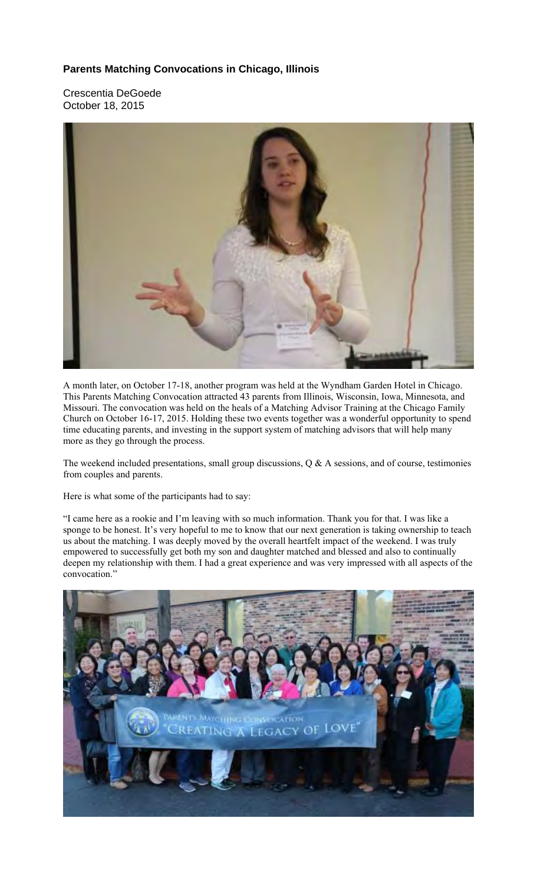## **Parents Matching Convocations in Chicago, Illinois**

Crescentia DeGoede October 18, 2015



A month later, on October 17-18, another program was held at the Wyndham Garden Hotel in Chicago. This Parents Matching Convocation attracted 43 parents from Illinois, Wisconsin, Iowa, Minnesota, and Missouri. The convocation was held on the heals of a Matching Advisor Training at the Chicago Family Church on October 16-17, 2015. Holding these two events together was a wonderful opportunity to spend time educating parents, and investing in the support system of matching advisors that will help many more as they go through the process.

The weekend included presentations, small group discussions, Q & A sessions, and of course, testimonies from couples and parents.

Here is what some of the participants had to say:

"I came here as a rookie and I'm leaving with so much information. Thank you for that. I was like a sponge to be honest. It's very hopeful to me to know that our next generation is taking ownership to teach us about the matching. I was deeply moved by the overall heartfelt impact of the weekend. I was truly empowered to successfully get both my son and daughter matched and blessed and also to continually deepen my relationship with them. I had a great experience and was very impressed with all aspects of the convocation."